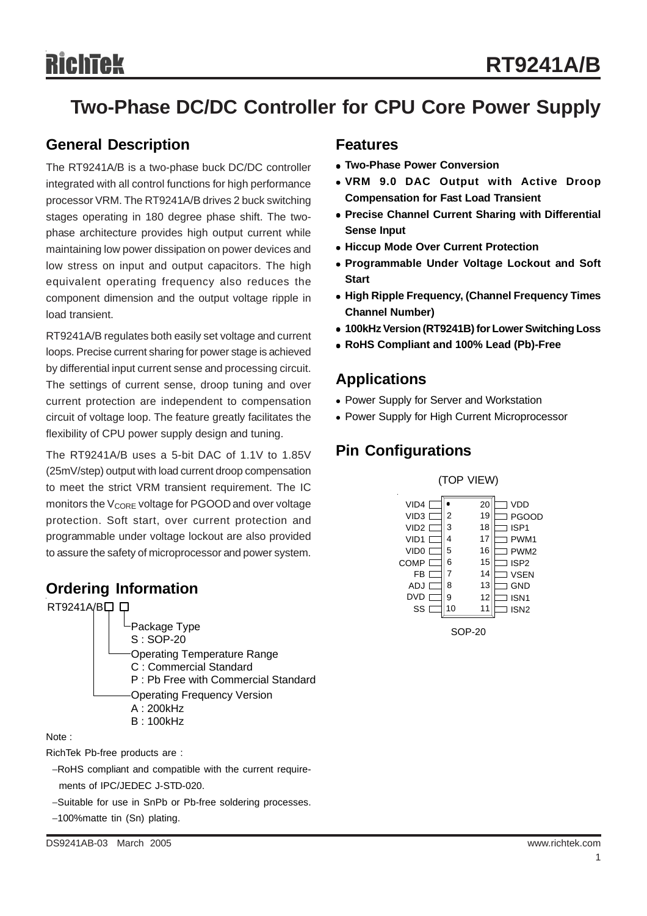# **RichTek**

# **Two-Phase DC/DC Controller for CPU Core Power Supply**

### **General Description**

The RT9241A/B is a two-phase buck DC/DC controller integrated with all control functions for high performance processor VRM. The RT9241A/B drives 2 buck switching stages operating in 180 degree phase shift. The twophase architecture provides high output current while maintaining low power dissipation on power devices and low stress on input and output capacitors. The high equivalent operating frequency also reduces the component dimension and the output voltage ripple in load transient.

RT9241A/B regulates both easily set voltage and current loops. Precise current sharing for power stage is achieved by differential input current sense and processing circuit. The settings of current sense, droop tuning and over current protection are independent to compensation circuit of voltage loop. The feature greatly facilitates the flexibility of CPU power supply design and tuning.

The RT9241A/B uses a 5-bit DAC of 1.1V to 1.85V (25mV/step) output with load current droop compensation to meet the strict VRM transient requirement. The IC monitors the  $V_{\text{CORE}}$  voltage for PGOOD and over voltage protection. Soft start, over current protection and programmable under voltage lockout are also provided to assure the safety of microprocessor and power system.

### **Ordering Information**

#### RT9241A/B口口



#### Note :

RichTek Pb-free products are :

−RoHS compliant and compatible with the current require ments of IPC/JEDEC J-STD-020.

- −Suitable for use in SnPb or Pb-free soldering processes.
- −100%matte tin (Sn) plating.

### **Features**

- <sup>z</sup> **Two-Phase Power Conversion**
- <sup>z</sup> **VRM 9.0 DAC Output with Active Droop Compensation for Fast Load Transient**
- **Precise Channel Current Sharing with Differential Sense Input**
- **Hiccup Mode Over Current Protection**
- **Programmable Under Voltage Lockout and Soft Start**
- **High Ripple Frequency, (Channel Frequency Times Channel Number)**
- <sup>z</sup> **100kHz Version (RT9241B) for Lower Switching Loss**
- <sup>z</sup> **RoHS Compliant and 100% Lead (Pb)-Free**

### **Applications**

- Power Supply for Server and Workstation
- Power Supply for High Current Microprocessor

## **Pin Configurations**



SOP-20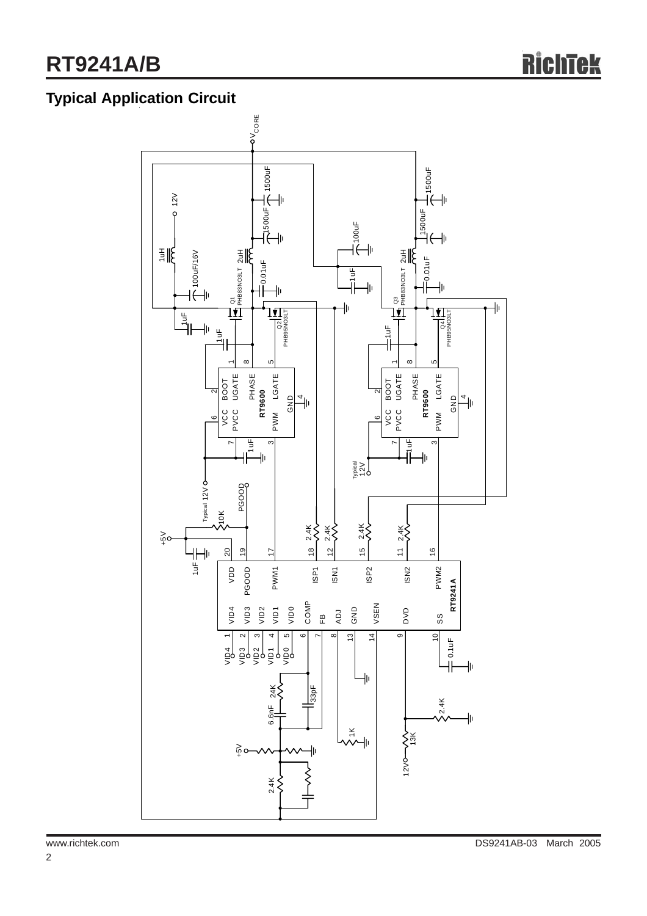# **Typical Application Circuit**

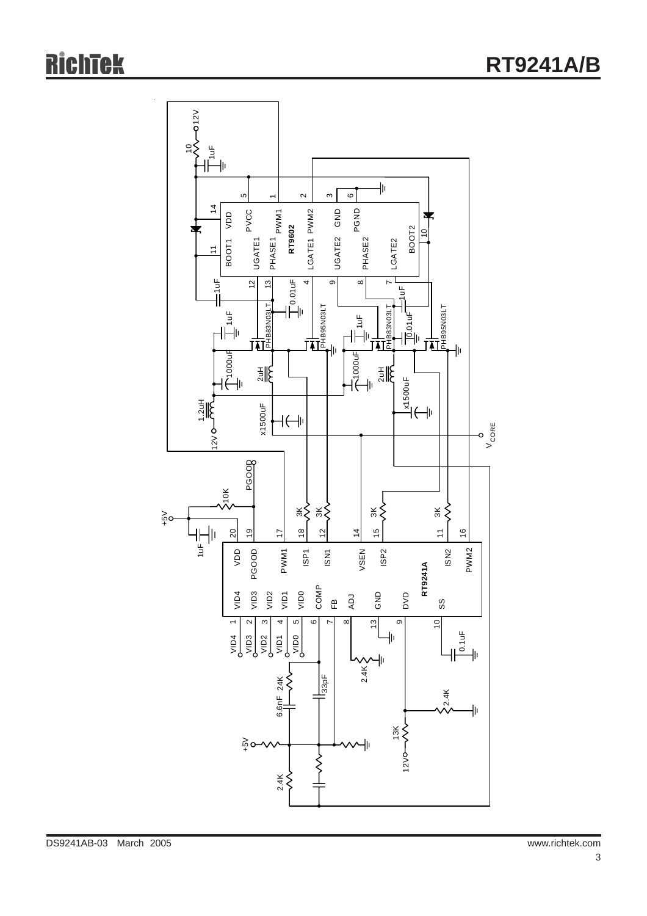**RichTek** 

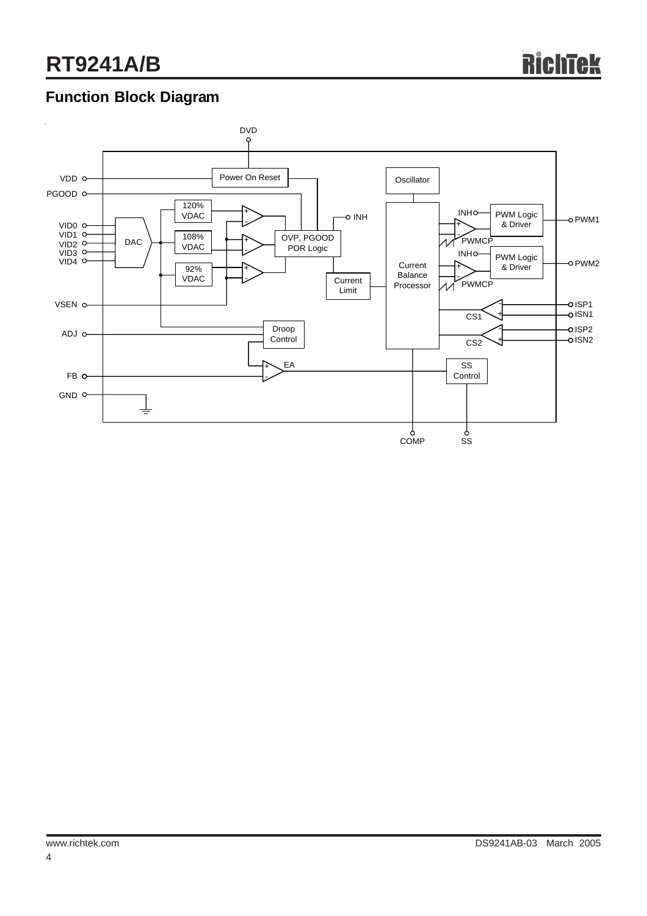# **Function Block Diagram**

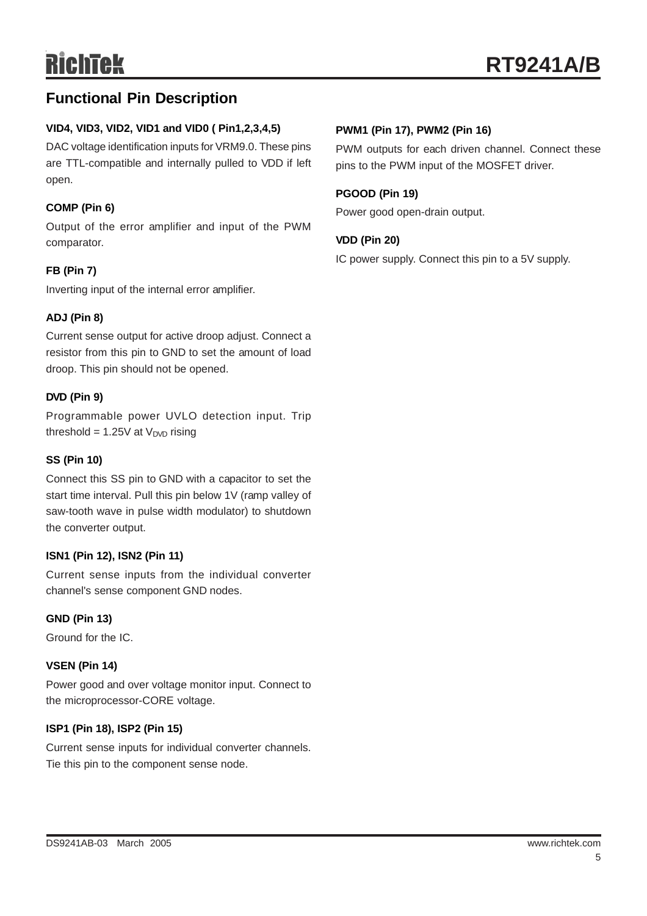## **Functional Pin Description**

### **VID4, VID3, VID2, VID1 and VID0 ( Pin1,2,3,4,5)**

DAC voltage identification inputs for VRM9.0. These pins are TTL-compatible and internally pulled to VDD if left open.

### **COMP (Pin 6)**

Output of the error amplifier and input of the PWM comparator.

### **FB (Pin 7)**

Inverting input of the internal error amplifier.

### **ADJ (Pin 8)**

Current sense output for active droop adjust. Connect a resistor from this pin to GND to set the amount of load droop. This pin should not be opened.

### **DVD (Pin 9)**

Programmable power UVLO detection input. Trip threshold =  $1.25V$  at  $V_{\text{DVD}}$  rising

### **SS (Pin 10)**

Connect this SS pin to GND with a capacitor to set the start time interval. Pull this pin below 1V (ramp valley of saw-tooth wave in pulse width modulator) to shutdown the converter output.

### **ISN1 (Pin 12), ISN2 (Pin 11)**

Current sense inputs from the individual converter channel's sense component GND nodes.

### **GND (Pin 13)**

Ground for the IC.

### **VSEN (Pin 14)**

Power good and over voltage monitor input. Connect to the microprocessor-CORE voltage.

### **ISP1 (Pin 18), ISP2 (Pin 15)**

Current sense inputs for individual converter channels. Tie this pin to the component sense node.

### **PWM1 (Pin 17), PWM2 (Pin 16)**

PWM outputs for each driven channel. Connect these pins to the PWM input of the MOSFET driver.

### **PGOOD (Pin 19)**

Power good open-drain output.

### **VDD (Pin 20)**

IC power supply. Connect this pin to a 5V supply.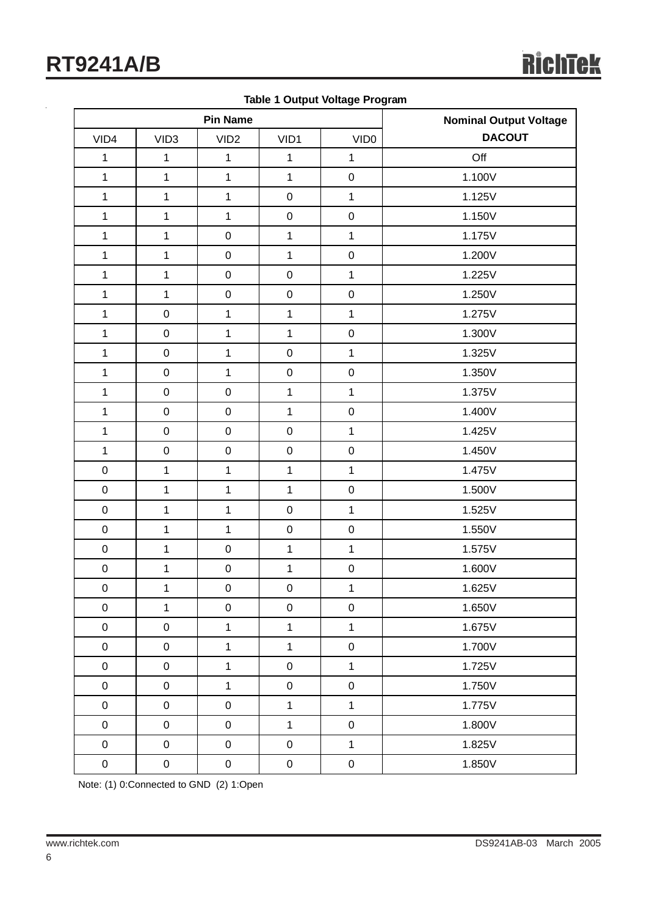|                  | ÷<br><b>Pin Name</b> |                  |              | <b>Nominal Output Voltage</b> |               |  |
|------------------|----------------------|------------------|--------------|-------------------------------|---------------|--|
| VID4             | VID <sub>3</sub>     | VID <sub>2</sub> | VID1         | VID <sub>0</sub>              | <b>DACOUT</b> |  |
| $\mathbf 1$      | $\mathbf{1}$         | $\mathbf{1}$     | $\mathbf 1$  | $\mathbf{1}$                  | Off           |  |
| $\mathbf{1}$     | $\mathbf{1}$         | $\mathbf{1}$     | $\mathbf{1}$ | $\mathbf 0$                   | 1.100V        |  |
| $\mathbf{1}$     | $\mathbf{1}$         | $\mathbf{1}$     | $\pmb{0}$    | $\mathbf{1}$                  | 1.125V        |  |
| $\mathbf{1}$     | $\mathbf{1}$         | $\mathbf{1}$     | $\pmb{0}$    | $\mathbf 0$                   | 1.150V        |  |
| $\mathbf{1}$     | $\mathbf{1}$         | $\mathbf 0$      | $\mathbf{1}$ | $\mathbf{1}$                  | 1.175V        |  |
| $\mathbf{1}$     | $\mathbf{1}$         | $\mathbf 0$      | $\mathbf{1}$ | $\mathbf 0$                   | 1.200V        |  |
| $\mathbf{1}$     | $\mathbf{1}$         | $\pmb{0}$        | $\pmb{0}$    | $\mathbf{1}$                  | 1.225V        |  |
| $\mathbf{1}$     | $\mathbf{1}$         | $\mathbf 0$      | $\pmb{0}$    | $\mathbf 0$                   | 1.250V        |  |
| $\mathbf{1}$     | $\mathsf 0$          | $\mathbf{1}$     | $\mathbf{1}$ | $\mathbf{1}$                  | 1.275V        |  |
| $\mathbf{1}$     | $\pmb{0}$            | $\mathbf{1}$     | $\mathbf{1}$ | $\mathbf 0$                   | 1.300V        |  |
| $\mathbf{1}$     | $\mathsf 0$          | $\mathbf{1}$     | $\pmb{0}$    | $\mathbf{1}$                  | 1.325V        |  |
| $\mathbf{1}$     | $\pmb{0}$            | $\mathbf{1}$     | $\pmb{0}$    | $\mathbf 0$                   | 1.350V        |  |
| $\mathbf{1}$     | $\mathsf 0$          | $\mathbf 0$      | $\mathbf{1}$ | $\mathbf{1}$                  | 1.375V        |  |
| $\mathbf{1}$     | $\pmb{0}$            | $\mathbf 0$      | $\mathbf{1}$ | $\mathbf 0$                   | 1.400V        |  |
| $\mathbf{1}$     | $\mathsf 0$          | $\mathbf 0$      | $\mathbf 0$  | $\mathbf{1}$                  | 1.425V        |  |
| $\mathbf{1}$     | $\pmb{0}$            | $\mathbf 0$      | $\pmb{0}$    | $\mathbf 0$                   | 1.450V        |  |
| $\pmb{0}$        | $\mathbf{1}$         | $\mathbf{1}$     | $\mathbf{1}$ | $\mathbf{1}$                  | 1.475V        |  |
| $\mathsf 0$      | $\mathbf{1}$         | $\mathbf{1}$     | $\mathbf{1}$ | $\mathbf 0$                   | 1.500V        |  |
| $\pmb{0}$        | $\mathbf{1}$         | $\mathbf{1}$     | $\mathbf 0$  | $\mathbf{1}$                  | 1.525V        |  |
| $\mathsf 0$      | $\mathbf{1}$         | $\mathbf{1}$     | $\pmb{0}$    | $\mathbf 0$                   | 1.550V        |  |
| $\pmb{0}$        | $\mathbf{1}$         | $\mathbf 0$      | $\mathbf{1}$ | $\mathbf{1}$                  | 1.575V        |  |
| $\mathsf 0$      | $\mathbf{1}$         | $\mathbf 0$      | $\mathbf{1}$ | $\mathsf 0$                   | 1.600V        |  |
| $\mathsf 0$      | $\mathbf{1}$         | $\mathsf 0$      | $\pmb{0}$    | $\mathbf{1}$                  | 1.625V        |  |
| $\pmb{0}$        | $\mathbf{1}$         | $\pmb{0}$        | $\pmb{0}$    | $\mathsf 0$                   | 1.650V        |  |
| $\pmb{0}$        | $\pmb{0}$            | $\mathbf{1}$     | $\mathbf{1}$ | $\mathbf{1}$                  | 1.675V        |  |
| $\pmb{0}$        | $\mathsf 0$          | $\mathbf{1}$     | $\mathbf{1}$ | $\mathsf 0$                   | 1.700V        |  |
| $\pmb{0}$        | $\pmb{0}$            | $\mathbf{1}$     | $\pmb{0}$    | $\mathbf{1}$                  | 1.725V        |  |
| $\pmb{0}$        | $\pmb{0}$            | $\mathbf{1}$     | $\pmb{0}$    | $\mathsf 0$                   | 1.750V        |  |
| $\pmb{0}$        | $\pmb{0}$            | $\pmb{0}$        | $\mathbf{1}$ | $\mathbf{1}$                  | 1.775V        |  |
| $\boldsymbol{0}$ | $\pmb{0}$            | $\pmb{0}$        | $\mathbf{1}$ | $\mathsf 0$                   | 1.800V        |  |
| $\pmb{0}$        | $\pmb{0}$            | $\pmb{0}$        | $\pmb{0}$    | $\mathbf{1}$                  | 1.825V        |  |
| $\mathbf 0$      | $\mathbf 0$          | $\mathbf 0$      | $\mathbf 0$  | $\mathsf 0$                   | 1.850V        |  |

**Table 1 Output Voltage Program**

Note: (1) 0:Connected to GND (2) 1:Open

6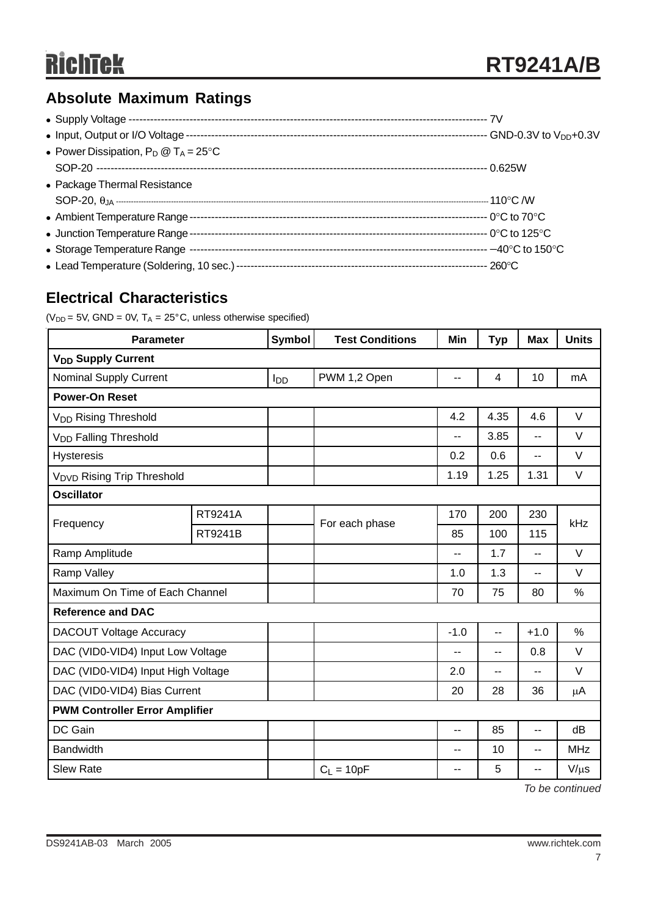# **Absolute Maximum Ratings**

| • Power Dissipation, $P_D @ T_A = 25^{\circ}C$ |  |
|------------------------------------------------|--|
|                                                |  |
| • Package Thermal Resistance                   |  |
|                                                |  |
|                                                |  |
|                                                |  |
|                                                |  |
|                                                |  |

## **Electrical Characteristics**

( $V_{DD}$  = 5V, GND = 0V, T<sub>A</sub> = 25°C, unless otherwise specified)

| <b>Parameter</b>                       |         | <b>Symbol</b>   | <b>Test Conditions</b> | Min            | <b>Typ</b>               | <b>Max</b> | <b>Units</b> |  |
|----------------------------------------|---------|-----------------|------------------------|----------------|--------------------------|------------|--------------|--|
| <b>V<sub>DD</sub> Supply Current</b>   |         |                 |                        |                |                          |            |              |  |
| <b>Nominal Supply Current</b>          |         | l <sub>DD</sub> | PWM 1,2 Open           | --             | 4                        | 10         | mA           |  |
| <b>Power-On Reset</b>                  |         |                 |                        |                |                          |            |              |  |
| V <sub>DD</sub> Rising Threshold       |         |                 |                        | 4.2            | 4.35                     | 4.6        | $\vee$       |  |
| V <sub>DD</sub> Falling Threshold      |         |                 |                        | --             | 3.85                     | --         | V            |  |
| <b>Hysteresis</b>                      |         |                 |                        | 0.2            | 0.6                      | $-$        | V            |  |
| V <sub>DVD</sub> Rising Trip Threshold |         |                 |                        | 1.19           | 1.25                     | 1.31       | $\vee$       |  |
| <b>Oscillator</b>                      |         |                 |                        |                |                          |            |              |  |
|                                        | RT9241A |                 |                        | 170            | 200                      | 230        | kHz          |  |
| Frequency                              | RT9241B |                 | For each phase         | 85             | 100                      | 115        |              |  |
| Ramp Amplitude                         |         |                 |                        | --             | 1.7                      | $-$        | V            |  |
| Ramp Valley                            |         |                 |                        | 1.0            | 1.3                      | --         | V            |  |
| Maximum On Time of Each Channel        |         |                 |                        | 70             | 75                       | 80         | %            |  |
| <b>Reference and DAC</b>               |         |                 |                        |                |                          |            |              |  |
| <b>DACOUT Voltage Accuracy</b>         |         |                 |                        | $-1.0$         | $-$                      | $+1.0$     | $\%$         |  |
| DAC (VID0-VID4) Input Low Voltage      |         |                 |                        | $\overline{a}$ | $\overline{\phantom{a}}$ | 0.8        | $\vee$       |  |
| DAC (VID0-VID4) Input High Voltage     |         |                 |                        | 2.0            | $\overline{\phantom{a}}$ |            | V            |  |
| DAC (VID0-VID4) Bias Current           |         |                 |                        | 20             | 28                       | 36         | μA           |  |
| <b>PWM Controller Error Amplifier</b>  |         |                 |                        |                |                          |            |              |  |
| DC Gain                                |         |                 |                        | $\overline{a}$ | 85                       | -−         | dB           |  |
| <b>Bandwidth</b>                       |         |                 |                        | ۰.             | 10                       | --         | <b>MHz</b>   |  |
| <b>Slew Rate</b>                       |         |                 | $C_L = 10pF$           | ۰.             | 5                        | --         | $V/\mu s$    |  |

*To be continued*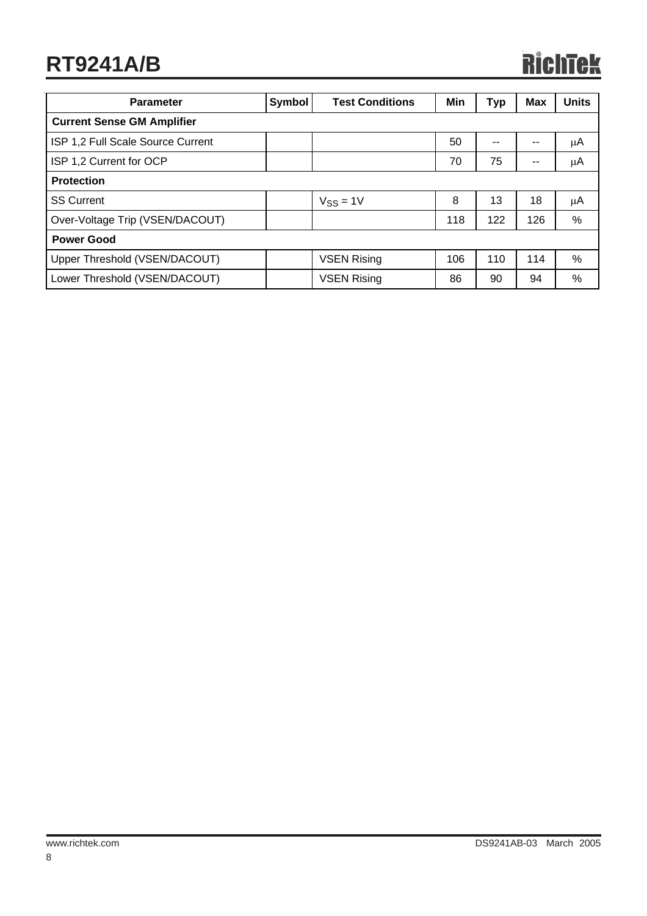# **RT9241A/B**

# **RichTek**

| <b>Parameter</b>                  | <b>Symbol</b> | <b>Test Conditions</b> | Min | <b>Typ</b> | <b>Max</b> | <b>Units</b> |  |  |
|-----------------------------------|---------------|------------------------|-----|------------|------------|--------------|--|--|
| <b>Current Sense GM Amplifier</b> |               |                        |     |            |            |              |  |  |
| ISP 1,2 Full Scale Source Current |               |                        | 50  |            |            | μA           |  |  |
| ISP 1,2 Current for OCP           |               |                        | 70  | 75         | --         | μA           |  |  |
| <b>Protection</b>                 |               |                        |     |            |            |              |  |  |
| <b>SS Current</b>                 |               | $V_{SS} = 1V$          | 8   | 13         | 18         | μA           |  |  |
| Over-Voltage Trip (VSEN/DACOUT)   |               |                        | 118 | 122        | 126        | %            |  |  |
| <b>Power Good</b>                 |               |                        |     |            |            |              |  |  |
| Upper Threshold (VSEN/DACOUT)     |               | <b>VSEN Rising</b>     | 106 | 110        | 114        | %            |  |  |
| Lower Threshold (VSEN/DACOUT)     |               | <b>VSEN Rising</b>     | 86  | 90         | 94         | $\%$         |  |  |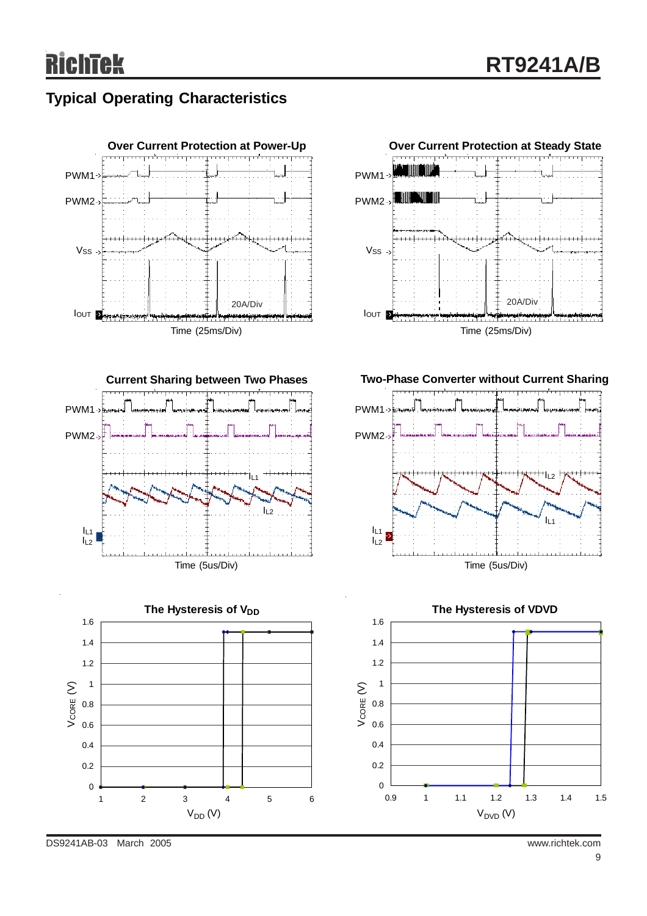# **Typical Operating Characteristics**







123456  $V_{DD}$  (V)





**Two-Phase Converter without Current Sharing**





DS9241AB-03 March 2005 www.richtek.com

0 0.2 0.4 0.6 0.8 1 1.2 1.4 1.6

VCORE<sup>(V)</sup>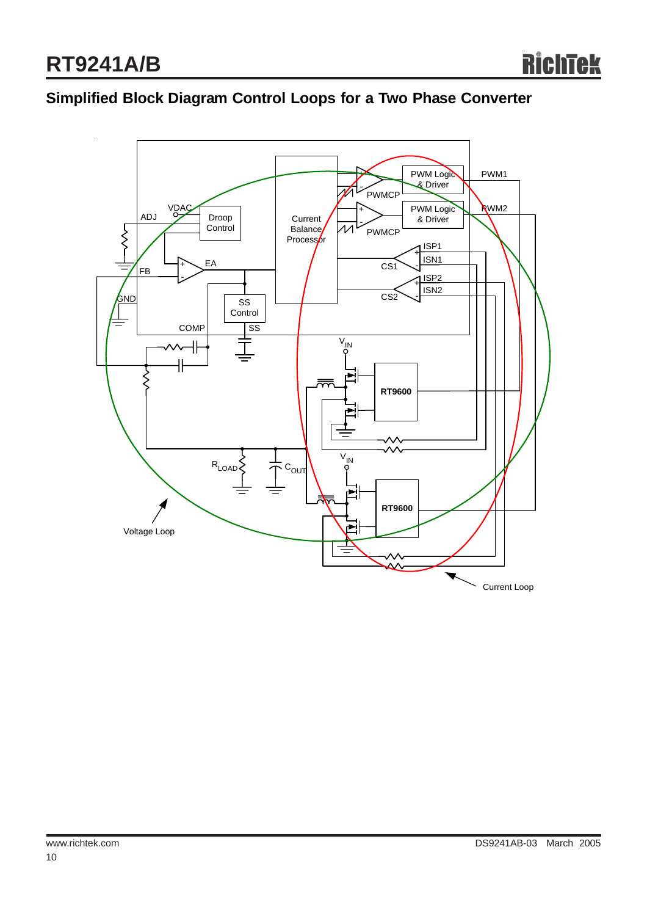# **Simplified Block Diagram Control Loops for a Two Phase Converter**

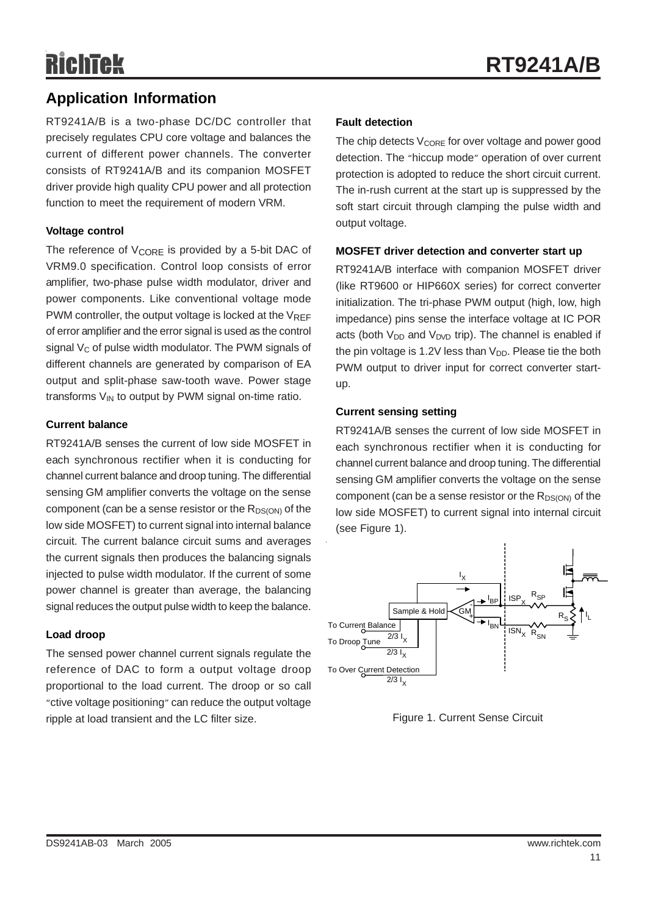### **Application Information**

RT9241A/B is a two-phase DC/DC controller that precisely regulates CPU core voltage and balances the current of different power channels. The converter consists of RT9241A/B and its companion MOSFET driver provide high quality CPU power and all protection function to meet the requirement of modern VRM.

### **Voltage control**

The reference of  $V_{\text{CORE}}$  is provided by a 5-bit DAC of VRM9.0 specification. Control loop consists of error amplifier, two-phase pulse width modulator, driver and power components. Like conventional voltage mode PWM controller, the output voltage is locked at the  $V_{RFF}$ of error amplifier and the error signal is used as the control signal  $V_C$  of pulse width modulator. The PWM signals of different channels are generated by comparison of EA output and split-phase saw-tooth wave. Power stage transforms  $V_{IN}$  to output by PWM signal on-time ratio.

#### **Current balance**

RT9241A/B senses the current of low side MOSFET in each synchronous rectifier when it is conducting for channel current balance and droop tuning. The differential sensing GM amplifier converts the voltage on the sense component (can be a sense resistor or the  $R_{DS(ON)}$  of the low side MOSFET) to current signal into internal balance circuit. The current balance circuit sums and averages the current signals then produces the balancing signals injected to pulse width modulator. If the current of some power channel is greater than average, the balancing signal reduces the output pulse width to keep the balance.

#### **Load droop**

The sensed power channel current signals regulate the reference of DAC to form a output voltage droop proportional to the load current. The droop or so call "ctive voltage positioning" can reduce the output voltage ripple at load transient and the LC filter size.

### **Fault detection**

The chip detects  $V_{\text{CORF}}$  for over voltage and power good detection. The "hiccup mode" operation of over current protection is adopted to reduce the short circuit current. The in-rush current at the start up is suppressed by the soft start circuit through clamping the pulse width and output voltage.

#### **MOSFET driver detection and converter start up**

RT9241A/B interface with companion MOSFET driver (like RT9600 or HIP660X series) for correct converter initialization. The tri-phase PWM output (high, low, high impedance) pins sense the interface voltage at IC POR acts (both  $V_{DD}$  and  $V_{DVD}$  trip). The channel is enabled if the pin voltage is 1.2V less than  $V_{DD}$ . Please tie the both PWM output to driver input for correct converter startup.

### **Current sensing setting**

RT9241A/B senses the current of low side MOSFET in each synchronous rectifier when it is conducting for channel current balance and droop tuning. The differential sensing GM amplifier converts the voltage on the sense component (can be a sense resistor or the  $R_{DS(ON)}$  of the low side MOSFET) to current signal into internal circuit (see Figure 1).



Figure 1. Current Sense Circuit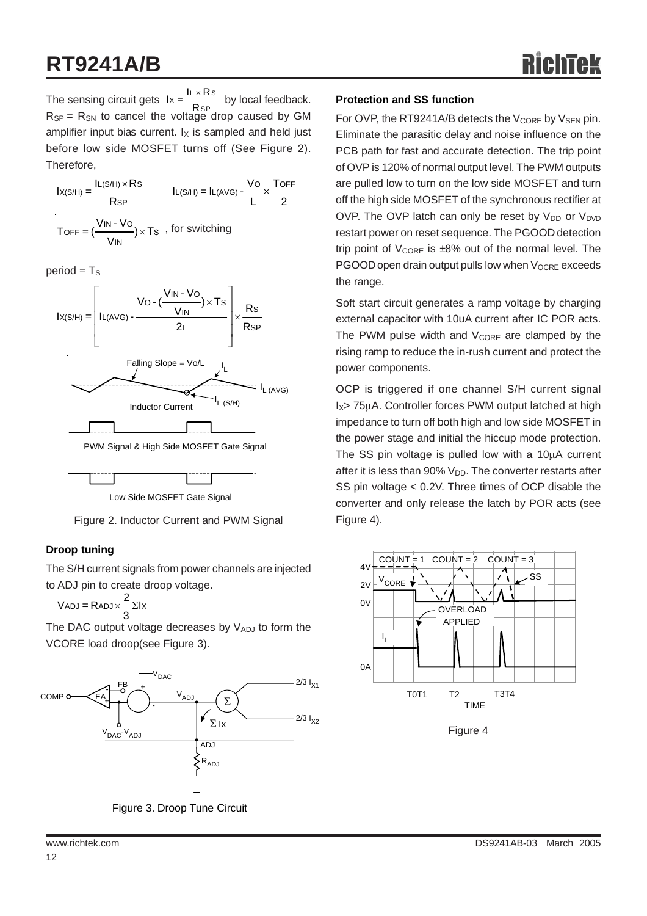The sensing circuit gets  $I_x = \frac{I_x \times R_s}{R}$  by local feedback.  $R_{SP} = R_{SN}$  to cancel the voltage drop caused by GM amplifier input bias current.  $I_X$  is sampled and held just before low side MOSFET turns off (See Figure 2). Therefore,

$$
I_{X(S/H)} = \frac{I_{L(S/H) \times RS}}{R_{SP}} \qquad I_{L(S/H)} = I_{L(AVG)} - \frac{V_{O}}{L} \times \frac{T_{OFF}}{2}
$$
  
TOFF =  $(\frac{V_{IN} - V_{O}}{V_{IN}}) \times T_{S}$ , for switching

period =  $T_S$ 





Figure 2. Inductor Current and PWM Signal

### **Droop tuning**

The S/H current signals from power channels are injected to ADJ pin to create droop voltage.

$$
VADJ = RADJ \times \frac{2}{3} \Sigma Jx
$$

The DAC output voltage decreases by  $V_{ADJ}$  to form the VCORE load droop(see Figure 3).



Figure 3. Droop Tune Circuit

### **Protection and SS function**

For OVP, the RT9241A/B detects the  $V_{\text{CORF}}$  by  $V_{\text{SFN}}$  pin. Eliminate the parasitic delay and noise influence on the PCB path for fast and accurate detection. The trip point of OVP is 120% of normal output level. The PWM outputs are pulled low to turn on the low side MOSFET and turn off the high side MOSFET of the synchronous rectifier at OVP. The OVP latch can only be reset by  $V_{DD}$  or  $V_{DVD}$ restart power on reset sequence. The PGOOD detection trip point of  $V_{\text{CORE}}$  is  $\pm 8\%$  out of the normal level. The  $PGOOD$  open drain output pulls low when  $V_{OCRE}$  exceeds the range.

Soft start circuit generates a ramp voltage by charging external capacitor with 10uA current after IC POR acts. The PWM pulse width and  $V_{\text{CORE}}$  are clamped by the rising ramp to reduce the in-rush current and protect the power components.

OCP is triggered if one channel S/H current signal I<sub>x</sub>> 75uA. Controller forces PWM output latched at high impedance to turn off both high and low side MOSFET in the power stage and initial the hiccup mode protection. The SS pin voltage is pulled low with a 10µA current after it is less than 90%  $V_{DD}$ . The converter restarts after SS pin voltage < 0.2V. Three times of OCP disable the converter and only release the latch by POR acts (see Figure 4).



Figure 4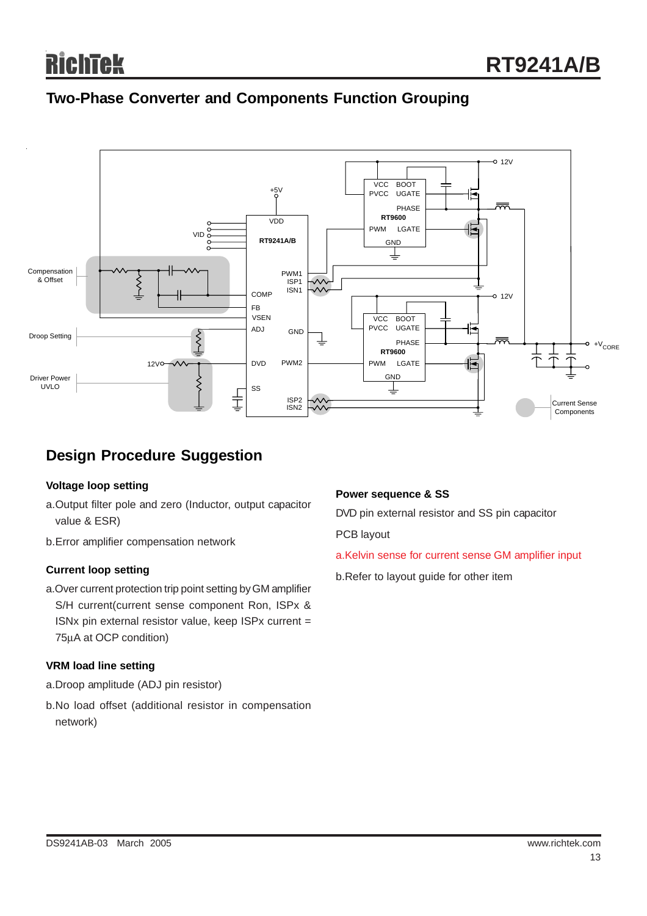# **Two-Phase Converter and Components Function Grouping**



### **Design Procedure Suggestion**

### **Voltage loop setting**

- a.Output filter pole and zero (Inductor, output capacitor value & ESR)
- b.Error amplifier compensation network

### **Current loop setting**

a.Over current protection trip point setting by GM amplifier S/H current(current sense component Ron, ISPx & ISNx pin external resistor value, keep ISPx current = 75µA at OCP condition)

#### **VRM load line setting**

- a.Droop amplitude (ADJ pin resistor)
- b.No load offset (additional resistor in compensation network)

### **Power sequence & SS**

DVD pin external resistor and SS pin capacitor

PCB layout

a.Kelvin sense for current sense GM amplifier input

b.Refer to layout guide for other item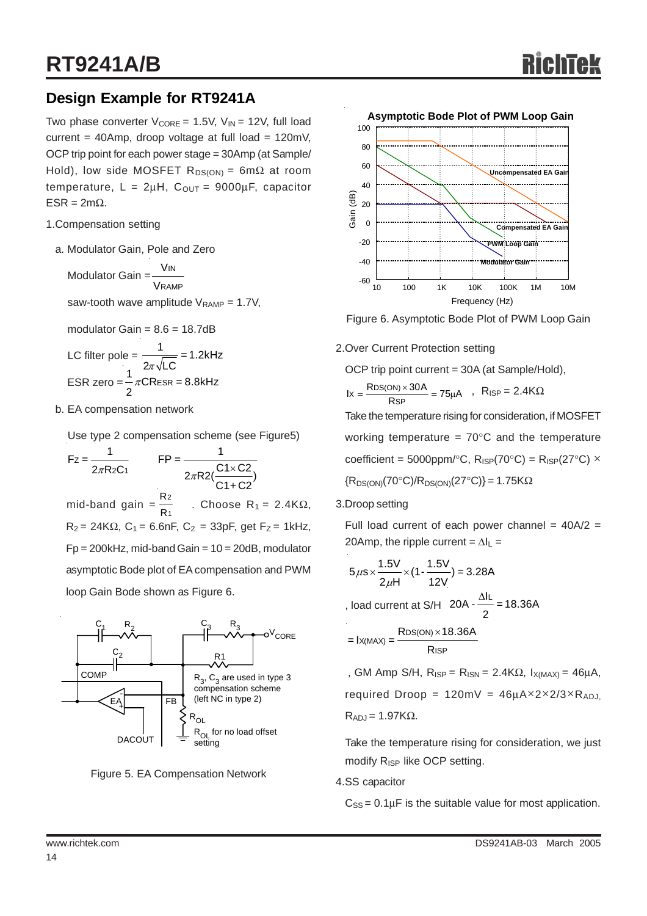# **Design Example for RT9241A**

Two phase converter  $V_{\text{CORE}} = 1.5V$ ,  $V_{\text{IN}} = 12V$ , full load current =  $40$ Amp, droop voltage at full load =  $120$ mV, OCP trip point for each power stage = 30Amp (at Sample/ Hold), low side MOSFET  $R_{DS(ON)} = 6m\Omega$  at room temperature,  $L = 2\mu H$ ,  $C_{\text{OUT}} = 9000\mu F$ , capacitor  $ESR = 2m\Omega$ .

#### 1.Compensation setting

a. Modulator Gain, Pole and Zero

 Modulator Gain = saw-tooth wave amplitude  $V_{\text{RAMP}} = 1.7V$ , IN RAMP V V

modulator Gain = 8.6 = 18.7dB

LC filter pole = 
$$
\frac{1}{2\pi\sqrt{LC}}
$$
 = 1.2kHz  
ESR zero =  $\frac{1}{2}\pi$ CRESR = 8.8kHz

b. EA compensation network

Use type 2 compensation scheme (see Figure5)

 $R_1 = 2.4K\Omega$ ,  $R_2 = 24KΩ$ , C<sub>1</sub> = 6.6nF, C<sub>2</sub> = 33pF, get F<sub>Z</sub> = 1kHz,  $Fp = 200$ kHz, mid-band Gain =  $10 = 20$ dB, modulator asymptotic Bode plot of EA compensation and PWM loop Gain Bode shown as Figure 6.  $z = \frac{z}{2\pi R2C_1}$   $FP = \frac{C1}{2\pi R2C_1}$  $Fz = \frac{1}{2\pi R_2 C_1}$   $FP = \frac{1}{2\pi R_2(\frac{C1 \times C2}{C1 + C2})}$ 2 1 R R



Figure 5. EA Compensation Network



Figure 6. Asymptotic Bode Plot of PWM Loop Gain

2.Over Current Protection setting

OCP trip point current = 30A (at Sample/Hold),

 $IX = \frac{RDS(ON) \times 30A}{R} = 75\mu A$ ,  $R_{ISP} = 2.4K\Omega$ R SP Take the temperature rising for consideration, if MOSFET working temperature =  $70^{\circ}$ C and the temperature coefficient = 5000ppm/ $\degree$ C, R<sub>ISP</sub>(70 $\degree$ C) = R<sub>ISP</sub>(27 $\degree$ C)  $\times$  ${R_{DS(ON)}(70°C)/R_{DS(ON)}(27°C)} = 1.75K\Omega$ 

3.Droop setting

Full load current of each power channel =  $40A/2$  = 20Amp, the ripple current =  $\Delta I_L$  =

$$
5\mu s \times \frac{1.5V}{2\mu H} \times (1 - \frac{1.5V}{12V}) = 3.28A
$$
  
, load current at S/H 20A -  $\frac{\Delta I L}{2}$  = 18.36A  
= Ix(MAX) =  $\frac{RDS(ON) \times 18.36A}{RISP}$ 

, GM Amp S/H,  $R_{\text{ISP}} = R_{\text{ISN}} = 2.4 \text{K}\Omega$ ,  $I_{X(\text{MAX})} = 46 \mu\text{A}$ , required Droop =  $120 \text{mV} = 46 \mu\text{A} \times 2 \times 2/3 \times R_{ADJ}$  $R_{ADJ} = 1.97K\Omega$ .

Take the temperature rising for consideration, we just modify R<sub>ISP</sub> like OCP setting.

4.SS capacitor

 $C_{SS} = 0.1 \mu F$  is the suitable value for most application.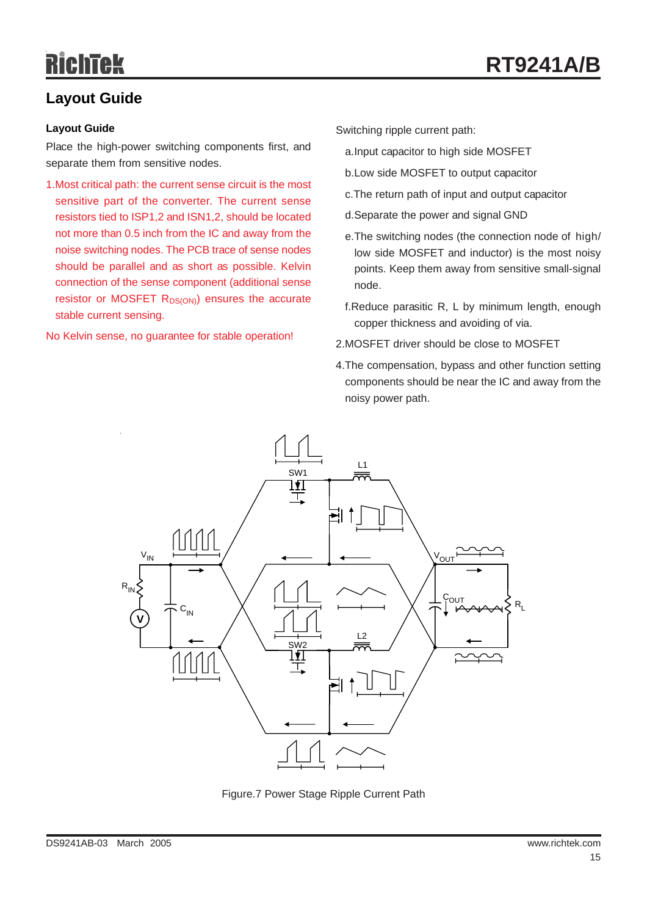# **Layout Guide**

### **Layout Guide**

Place the high-power switching components first, and separate them from sensitive nodes.

1.Most critical path: the current sense circuit is the most sensitive part of the converter. The current sense resistors tied to ISP1,2 and ISN1,2, should be located not more than 0.5 inch from the IC and away from the noise switching nodes. The PCB trace of sense nodes should be parallel and as short as possible. Kelvin connection of the sense component (additional sense resistor or MOSFET  $R_{DS(ON)}$  ensures the accurate stable current sensing.

No Kelvin sense, no guarantee for stable operation!

Switching ripple current path:

- a.Input capacitor to high side MOSFET
- b.Low side MOSFET to output capacitor
- c.The return path of input and output capacitor
- d.Separate the power and signal GND
- e.The switching nodes (the connection node of high/ low side MOSFET and inductor) is the most noisy points. Keep them away from sensitive small-signal node.
- f.Reduce parasitic R, L by minimum length, enough copper thickness and avoiding of via.
- 2.MOSFET driver should be close to MOSFET
- 4.The compensation, bypass and other function setting components should be near the IC and away from the noisy power path.



Figure.7 Power Stage Ripple Current Path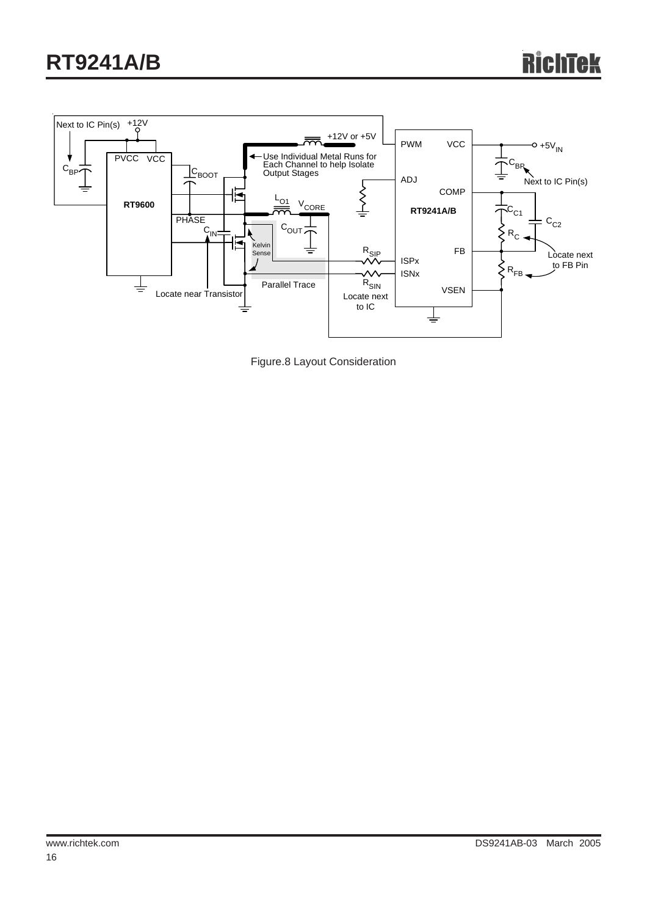

Figure.8 Layout Consideration